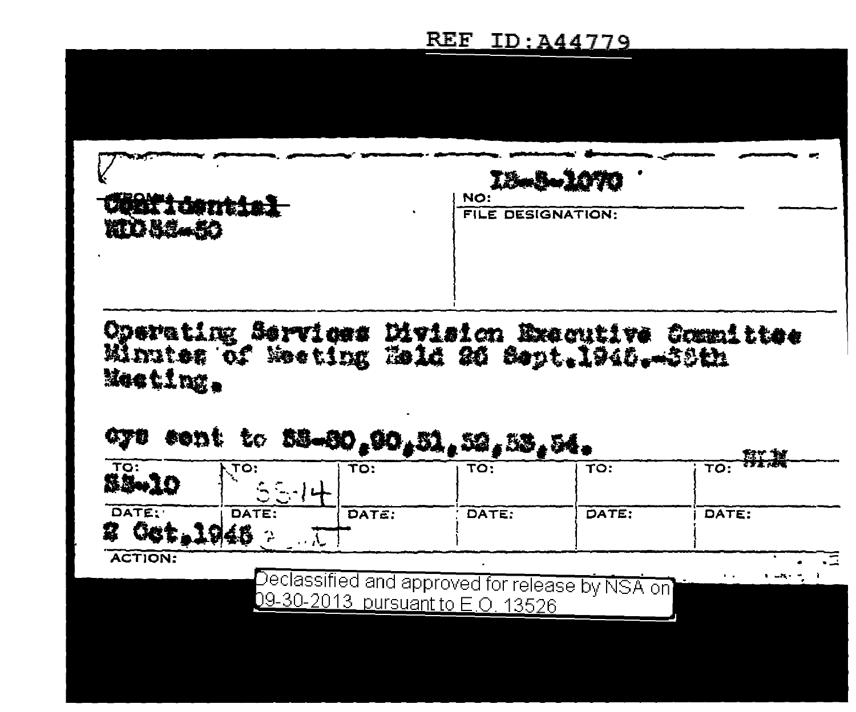## REF ID: A44779

|                                                         | I2-3-1070                                       |  |  |  |
|---------------------------------------------------------|-------------------------------------------------|--|--|--|
| Centicential<br>klo 56-50                               | NO:<br><b>FILE DESIGNATION:</b>                 |  |  |  |
| Minutes of Meeting Held 26 Sept. 1946. 38th<br>Meeting. | Operating Services Division Executive Committee |  |  |  |

| $55 - 10$        | ्ग <b>ः</b> | TO:   | TO:                               | TO:                                                           | <del>wijk</del><br>TO: |
|------------------|-------------|-------|-----------------------------------|---------------------------------------------------------------|------------------------|
| DATE:<br>Get. 1a | DATE:       | DATE: | DATE:                             | DATE:                                                         | DATE:                  |
| <b>ACTION:</b>   |             |       | 09-30-2013 pursuant to E.O. 13526 | $\overline{Declassified}$ and approved for release by NSA on) | . .<br>$-2$            |
|                  |             |       |                                   |                                                               |                        |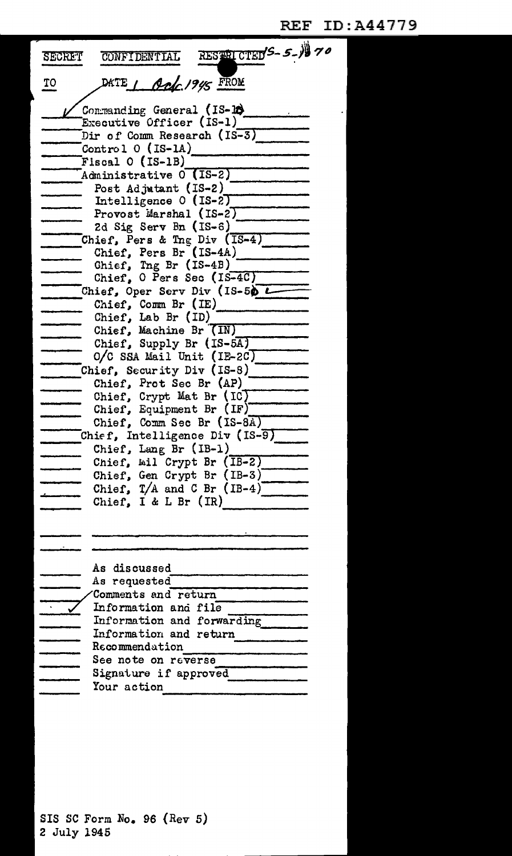| RESTRICTED'S-5-1970<br><b>SECRET</b><br>CONFIDENTIAL |
|------------------------------------------------------|
| DATE 1 Apr 1945 FROM<br>TO                           |
| Commanding General (IS-18)                           |
| Executive Officer (IS-1)                             |
| Dir of Comm Research (IS-3)                          |
| Control $0$ (IS-1A)                                  |
| Fiscal O (IS-1B)                                     |
| Administrative 0 (IS-2)                              |
| Post Adjutant (IS-2)                                 |
| Intelligence 0 (IS-2)                                |
| Provost Marshal (IS-2)                               |
| 2d Sig Serv Bn $(IS-6)$                              |
| Chief, Pers & Tng Div (IS-4)                         |
| Chief, Pers Br (IS-4A)                               |
| Chief, Ing Br (IS-4B)                                |
| Chief, O Pers Sec (IS-4C)                            |
| Chief, Oper Serv Div (IS-50 $L$                      |
| Chief, Comm Br (IE)                                  |
| Chief, Lab Br (ID)                                   |
| Chief, Machine Br (IN)                               |
| Chief, Supply Br (IS-5A)                             |
| $O/C$ SSA Mail Unit (IE-2C)                          |
| Chief, Security Div (IS-8)                           |
| Chief, Prot Sec Br (AP)                              |
| Chief, Crypt Mat Br $(IC)$                           |
| Chief, Equipment Br (IF)                             |
| Chief, Comm Sec Br (IS-8A)                           |
| Chief, Intelligence Div (IS-9)                       |
| Chief, Lang Br $(IB-1)$                              |
| Chief, Wil Crypt Br (IB-2)                           |
| Chief, Gen Crypt Br (IB-3)                           |
| Chief, $T/A$ and C Br $(IB-4)$                       |
| Chief, I & L Br $(IR)$                               |
|                                                      |
|                                                      |
|                                                      |
|                                                      |
| As discussed                                         |
| As requested                                         |
| Comments and return                                  |
| Information and file                                 |
| Information and forwarding                           |
| Information and return<br>$\texttt{Recommendation}$  |
| See note on reverse                                  |
|                                                      |
| Signature if approved                                |
| Your action                                          |

SIS SC Form No. 96 (Rev 5) 2 July 1945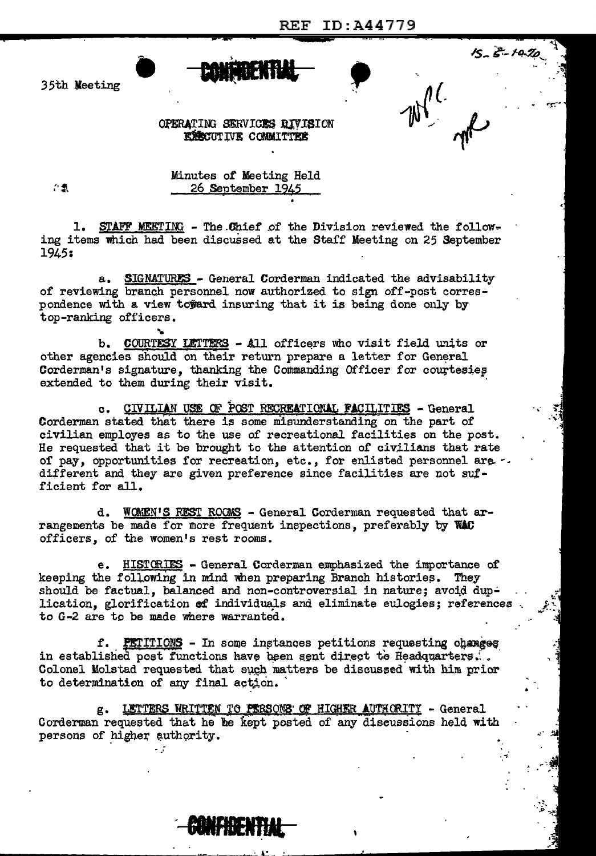**REF ID: A44779** 

 $15 - 5 - 10$ 

35th Meeting

OPERATING SERVICES RIVISION **EXECUTIVE COMMITTEE** 

ご気

Minutes of Meeting Held 26 September 1945

1. STAFF MEETING - The Chief of the Division reviewed the following items which had been discussed at the Staff Meeting on 25 September 1945:

SIGNATURES - General Corderman indicated the advisability  $a_{-}$ of reviewing branch personnel now authorized to sign off-post correspondence with a view toward insuring that it is being done only by top-ranking officers.

b. COURTESY LETTERS - All officers who visit field units or other agencies should on their return prepare a letter for General Corderman's signature, thanking the Commanding Officer for courtesies extended to them during their visit.

CIVILIAN USE OF POST RECREATIONAL FACILITIES - General  $c_{\bullet}$ Corderman stated that there is some misunderstanding on the part of civilian employes as to the use of recreational facilities on the post. He requested that it be brought to the attention of civilians that rate of pay, opportunities for recreation, etc., for enlisted personnel are .. different and they are given preference since facilities are not sufficient for all.

d. WOMEN'S REST ROOMS - General Corderman requested that arrangements be made for more frequent inspections, preferably by WAC officers, of the women's rest rooms.

e. HISTORIES - General Corderman emphasized the importance of keeping the following in mind when preparing Branch histories. They should be factual, balanced and non-controversial in nature; avoid duplication, glorification of individuals and eliminate eulogies; references to G-2 are to be made where warranted.

f. PETITIONS - In some instances petitions requesting changes in established post functions have been sent direct to Headquarters... Colonel Molstad requested that such matters be discussed with him prior to determination of any final action.

g. LETTERS WRITTEN TO PERSONS OF HIGHER AUTHORITY - General Corderman requested that he he kept posted of any discussions held with persons of higher authority.